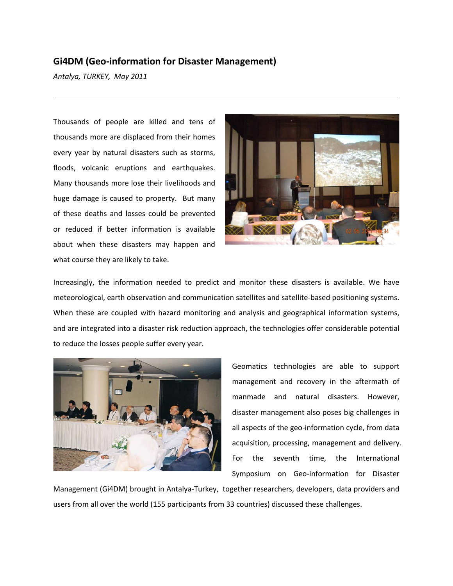## **Gi4DM (Geo-information for Disaster Management)**

*Antalya, TURKEY, May 2011*

Thousands of people are killed and tens of thousands more are displaced from their homes every year by natural disasters such as storms, floods, volcanic eruptions and earthquakes. Many thousands more lose their livelihoods and huge damage is caused to property. But many of these deaths and losses could be prevented or reduced if better information is available about when these disasters may happen and what course they are likely to take.



Increasingly, the information needed to predict and monitor these disasters is available. We have meteorological, earth observation and communication satellites and satellite-based positioning systems. When these are coupled with hazard monitoring and analysis and geographical information systems, and are integrated into a disaster risk reduction approach, the technologies offer considerable potential to reduce the losses people suffer every year.



Geomatics technologies are able to support management and recovery in the aftermath of manmade and natural disasters. However, disaster management also poses big challenges in all aspects of the geo-information cycle, from data acquisition, processing, management and delivery. For the seventh time, the International Symposium on Geo-information for Disaster

Management (Gi4DM) brought in Antalya-Turkey, together researchers, developers, data providers and users from all over the world (155 participants from 33 countries) discussed these challenges.